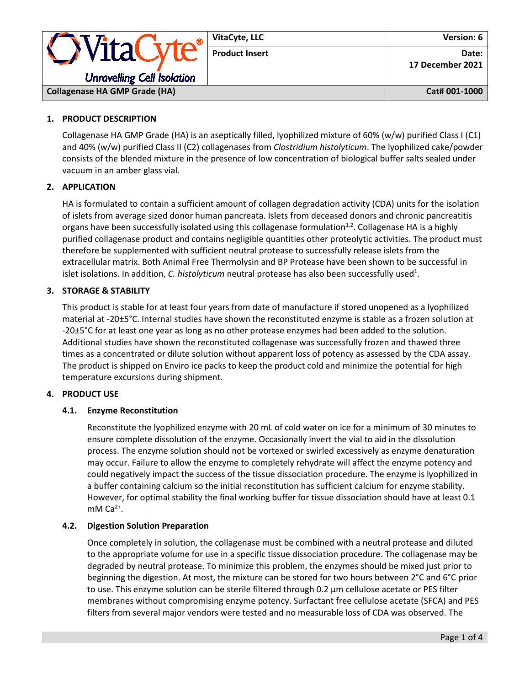|                                                 | VitaCyte, LLC         | <b>Version: 6</b>         |
|-------------------------------------------------|-----------------------|---------------------------|
| · WitaCyte<br><b>Unravelling Cell Isolation</b> | <b>Product Insert</b> | Date:<br>17 December 2021 |
| <b>Collagenase HA GMP Grade (HA)</b>            |                       | Cat# 001-1000             |

## **1. PRODUCT DESCRIPTION**

Collagenase HA GMP Grade (HA) is an aseptically filled, lyophilized mixture of 60% (w/w) purified Class I (C1) and 40% (w/w) purified Class II (C2) collagenases from *Clostridium histolyticum*. The lyophilized cake/powder consists of the blended mixture in the presence of low concentration of biological buffer salts sealed under vacuum in an amber glass vial.

### **2. APPLICATION**

HA is formulated to contain a sufficient amount of collagen degradation activity (CDA) units for the isolation of islets from average sized donor human pancreata. Islets from deceased donors and chronic pancreatitis organs have been successfully isolated using this collagenase formulation $1,2$ . Collagenase HA is a highly purified collagenase product and contains negligible quantities other proteolytic activities. The product must therefore be supplemented with sufficient neutral protease to successfully release islets from the extracellular matrix. Both Animal Free Thermolysin and BP Protease have been shown to be successful in islet isolations. In addition, *C. histolyticum* neutral protease has also been successfully used<sup>1</sup>.

### **3. STORAGE & STABILITY**

This product is stable for at least four years from date of manufacture if stored unopened as a lyophilized material at -20±5°C. Internal studies have shown the reconstituted enzyme is stable as a frozen solution at -20±5°C for at least one year as long as no other protease enzymes had been added to the solution. Additional studies have shown the reconstituted collagenase was successfully frozen and thawed three times as a concentrated or dilute solution without apparent loss of potency as assessed by the CDA assay. The product is shipped on Enviro ice packs to keep the product cold and minimize the potential for high temperature excursions during shipment.

### **4. PRODUCT USE**

### **4.1. Enzyme Reconstitution**

Reconstitute the lyophilized enzyme with 20 mL of cold water on ice for a minimum of 30 minutes to ensure complete dissolution of the enzyme. Occasionally invert the vial to aid in the dissolution process. The enzyme solution should not be vortexed or swirled excessively as enzyme denaturation may occur. Failure to allow the enzyme to completely rehydrate will affect the enzyme potency and could negatively impact the success of the tissue dissociation procedure. The enzyme is lyophilized in a buffer containing calcium so the initial reconstitution has sufficient calcium for enzyme stability. However, for optimal stability the final working buffer for tissue dissociation should have at least 0.1 mM  $Ca<sup>2+</sup>$ .

#### **4.2. Digestion Solution Preparation**

Once completely in solution, the collagenase must be combined with a neutral protease and diluted to the appropriate volume for use in a specific tissue dissociation procedure. The collagenase may be degraded by neutral protease. To minimize this problem, the enzymes should be mixed just prior to beginning the digestion. At most, the mixture can be stored for two hours between 2°C and 6°C prior to use. This enzyme solution can be sterile filtered through 0.2 μm cellulose acetate or PES filter membranes without compromising enzyme potency. Surfactant free cellulose acetate (SFCA) and PES filters from several major vendors were tested and no measurable loss of CDA was observed. The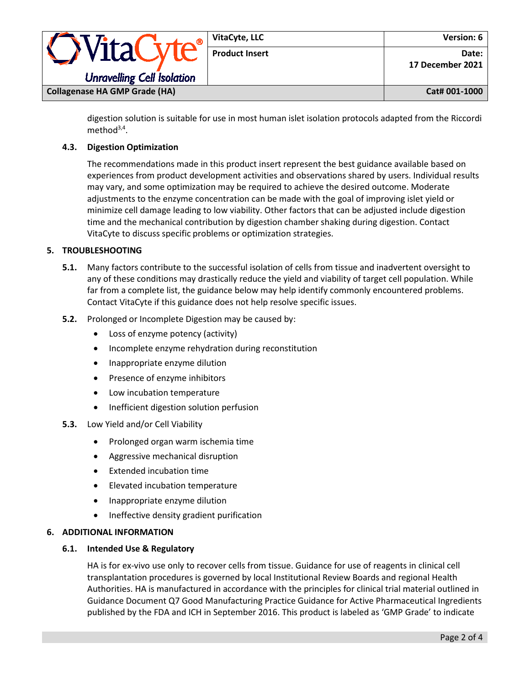| VitaC                                | VitaCyte, LLC         | <b>Version: 6</b>         |
|--------------------------------------|-----------------------|---------------------------|
|                                      | <b>Product Insert</b> | Date:<br>17 December 2021 |
| <b>Unravelling Cell Isolation</b>    |                       |                           |
| <b>Collagenase HA GMP Grade (HA)</b> |                       | Cat# 001-1000             |

digestion solution is suitable for use in most human islet isolation protocols adapted from the Riccordi method<sup>3,4</sup>.

# **4.3. Digestion Optimization**

The recommendations made in this product insert represent the best guidance available based on experiences from product development activities and observations shared by users. Individual results may vary, and some optimization may be required to achieve the desired outcome. Moderate adjustments to the enzyme concentration can be made with the goal of improving islet yield or minimize cell damage leading to low viability. Other factors that can be adjusted include digestion time and the mechanical contribution by digestion chamber shaking during digestion. Contact VitaCyte to discuss specific problems or optimization strategies.

### **5. TROUBLESHOOTING**

- **5.1.** Many factors contribute to the successful isolation of cells from tissue and inadvertent oversight to any of these conditions may drastically reduce the yield and viability of target cell population. While far from a complete list, the guidance below may help identify commonly encountered problems. Contact VitaCyte if this guidance does not help resolve specific issues.
- **5.2.** Prolonged or Incomplete Digestion may be caused by:
	- Loss of enzyme potency (activity)
	- Incomplete enzyme rehydration during reconstitution
	- Inappropriate enzyme dilution
	- Presence of enzyme inhibitors
	- Low incubation temperature
	- Inefficient digestion solution perfusion
- **5.3.** Low Yield and/or Cell Viability
	- Prolonged organ warm ischemia time
	- Aggressive mechanical disruption
	- Extended incubation time
	- Elevated incubation temperature
	- Inappropriate enzyme dilution
	- Ineffective density gradient purification

### **6. ADDITIONAL INFORMATION**

#### **6.1. Intended Use & Regulatory**

HA is for ex-vivo use only to recover cells from tissue. Guidance for use of reagents in clinical cell transplantation procedures is governed by local Institutional Review Boards and regional Health Authorities. HA is manufactured in accordance with the principles for clinical trial material outlined in Guidance Document Q7 Good Manufacturing Practice Guidance for Active Pharmaceutical Ingredients published by the FDA and ICH in September 2016. This product is labeled as 'GMP Grade' to indicate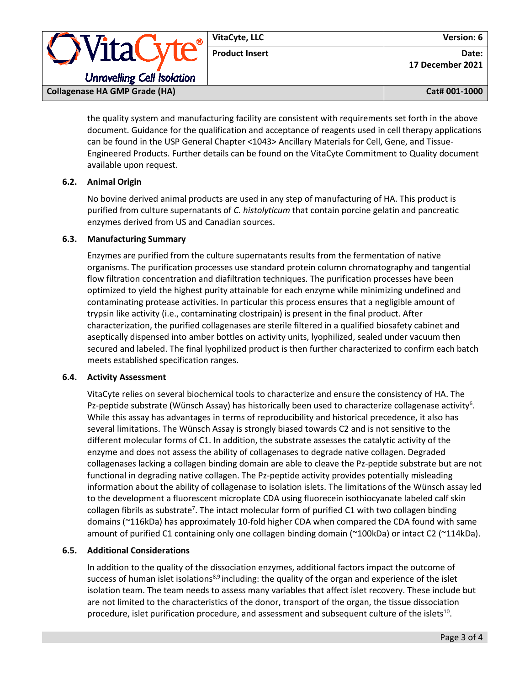|                                      | VitaCyte, LLC         | Version: 6                |
|--------------------------------------|-----------------------|---------------------------|
| <i><b>OVitaCyte</b></i>              | <b>Product Insert</b> | Date:<br>17 December 2021 |
| <b>Unravelling Cell Isolation</b>    |                       |                           |
| <b>Collagenase HA GMP Grade (HA)</b> |                       | Cat# 001-1000             |

the quality system and manufacturing facility are consistent with requirements set forth in the above document. Guidance for the qualification and acceptance of reagents used in cell therapy applications can be found in the USP General Chapter <1043> Ancillary Materials for Cell, Gene, and Tissue-Engineered Products. Further details can be found on the VitaCyte Commitment to Quality document available upon request.

### **6.2. Animal Origin**

No bovine derived animal products are used in any step of manufacturing of HA. This product is purified from culture supernatants of *C. histolyticum* that contain porcine gelatin and pancreatic enzymes derived from US and Canadian sources.

### **6.3. Manufacturing Summary**

Enzymes are purified from the culture supernatants results from the fermentation of native organisms. The purification processes use standard protein column chromatography and tangential flow filtration concentration and diafiltration techniques. The purification processes have been optimized to yield the highest purity attainable for each enzyme while minimizing undefined and contaminating protease activities. In particular this process ensures that a negligible amount of trypsin like activity (i.e., contaminating clostripain) is present in the final product. After characterization, the purified collagenases are sterile filtered in a qualified biosafety cabinet and aseptically dispensed into amber bottles on activity units, lyophilized, sealed under vacuum then secured and labeled. The final lyophilized product is then further characterized to confirm each batch meets established specification ranges.

### **6.4. Activity Assessment**

VitaCyte relies on several biochemical tools to characterize and ensure the consistency of HA. The Pz-peptide substrate (Wünsch Assay) has historically been used to characterize collagenase activity<sup>6</sup>. While this assay has advantages in terms of reproducibility and historical precedence, it also has several limitations. The Wünsch Assay is strongly biased towards C2 and is not sensitive to the different molecular forms of C1. In addition, the substrate assesses the catalytic activity of the enzyme and does not assess the ability of collagenases to degrade native collagen. Degraded collagenases lacking a collagen binding domain are able to cleave the Pz-peptide substrate but are not functional in degrading native collagen. The Pz-peptide activity provides potentially misleading information about the ability of collagenase to isolation islets. The limitations of the Wünsch assay led to the development a fluorescent microplate CDA using fluorecein isothiocyanate labeled calf skin collagen fibrils as substrate<sup>7</sup>. The intact molecular form of purified C1 with two collagen binding domains (~116kDa) has approximately 10-fold higher CDA when compared the CDA found with same amount of purified C1 containing only one collagen binding domain (~100kDa) or intact C2 (~114kDa).

### **6.5. Additional Considerations**

In addition to the quality of the dissociation enzymes, additional factors impact the outcome of success of human islet isolations<sup>8,9</sup> including: the quality of the organ and experience of the islet isolation team. The team needs to assess many variables that affect islet recovery. These include but are not limited to the characteristics of the donor, transport of the organ, the tissue dissociation procedure, islet purification procedure, and assessment and subsequent culture of the islets<sup>10</sup>.